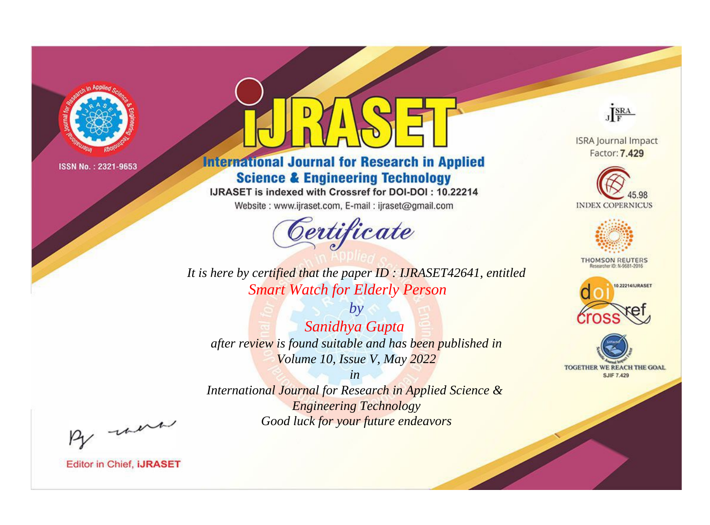

# **International Journal for Research in Applied Science & Engineering Technology**

IJRASET is indexed with Crossref for DOI-DOI: 10.22214

Website: www.ijraset.com, E-mail: ijraset@gmail.com



JERA

**ISRA Journal Impact** Factor: 7.429





**THOMSON REUTERS** 



TOGETHER WE REACH THE GOAL **SJIF 7.429** 

*It is here by certified that the paper ID : IJRASET42641, entitled Smart Watch for Elderly Person*

*by Sanidhya Gupta after review is found suitable and has been published in Volume 10, Issue V, May 2022*

*in* 

*International Journal for Research in Applied Science & Engineering Technology Good luck for your future endeavors*

By morn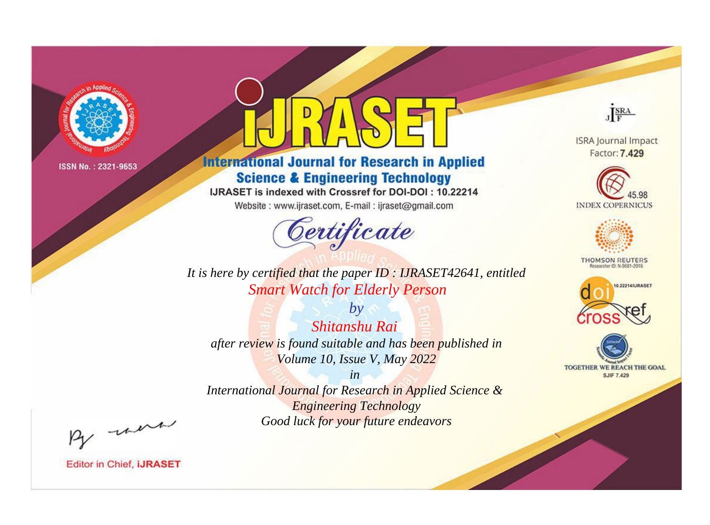

# **International Journal for Research in Applied Science & Engineering Technology**

IJRASET is indexed with Crossref for DOI-DOI: 10.22214

Website: www.ijraset.com, E-mail: ijraset@gmail.com



JERA

**ISRA Journal Impact** Factor: 7.429





**THOMSON REUTERS** 



TOGETHER WE REACH THE GOAL **SJIF 7.429** 

*It is here by certified that the paper ID : IJRASET42641, entitled Smart Watch for Elderly Person*

*by Shitanshu Rai after review is found suitable and has been published in Volume 10, Issue V, May 2022*

*in* 

*International Journal for Research in Applied Science & Engineering Technology Good luck for your future endeavors*

By morn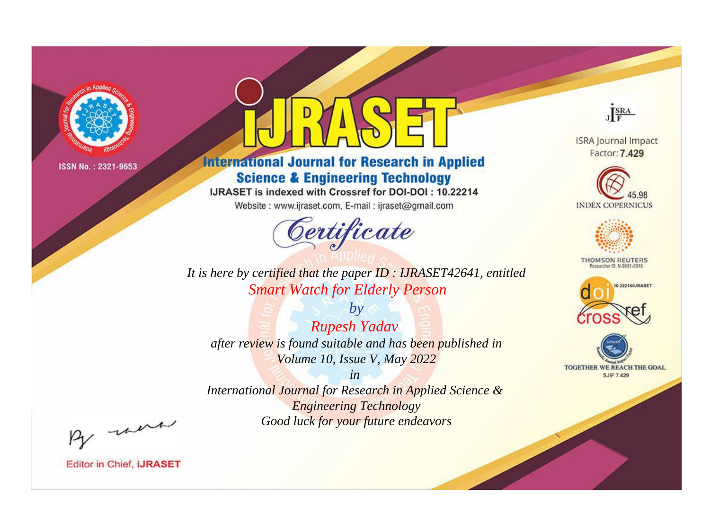

# **International Journal for Research in Applied Science & Engineering Technology**

IJRASET is indexed with Crossref for DOI-DOI: 10.22214

Website: www.ijraset.com, E-mail: ijraset@gmail.com



JERA

**ISRA Journal Impact** Factor: 7.429





**THOMSON REUTERS** 



TOGETHER WE REACH THE GOAL **SJIF 7.429** 

*It is here by certified that the paper ID : IJRASET42641, entitled Smart Watch for Elderly Person*

*by Rupesh Yadav after review is found suitable and has been published in Volume 10, Issue V, May 2022*

*in* 

*International Journal for Research in Applied Science & Engineering Technology Good luck for your future endeavors*

By morn